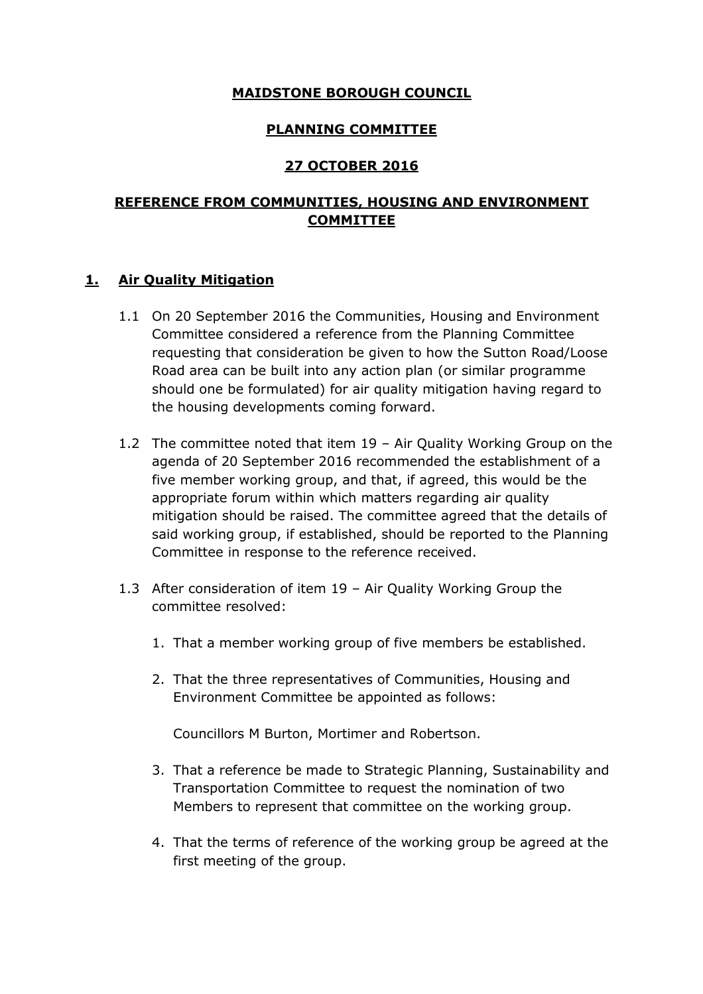#### **MAIDSTONE BOROUGH COUNCIL**

### **PLANNING COMMITTEE**

### **27 OCTOBER 2016**

### **REFERENCE FROM COMMUNITIES, HOUSING AND ENVIRONMENT COMMITTEE**

#### **1. Air Quality Mitigation**

- 1.1 On 20 September 2016 the Communities, Housing and Environment Committee considered a reference from the Planning Committee requesting that consideration be given to how the Sutton Road/Loose Road area can be built into any action plan (or similar programme should one be formulated) for air quality mitigation having regard to the housing developments coming forward.
- 1.2 The committee noted that item 19 Air Quality Working Group on the agenda of 20 September 2016 recommended the establishment of a five member working group, and that, if agreed, this would be the appropriate forum within which matters regarding air quality mitigation should be raised. The committee agreed that the details of said working group, if established, should be reported to the Planning Committee in response to the reference received.
- 1.3 After consideration of item 19 Air Quality Working Group the committee resolved:
	- 1. That a member working group of five members be established.
	- 2. That the three representatives of Communities, Housing and Environment Committee be appointed as follows:

Councillors M Burton, Mortimer and Robertson.

- 3. That a reference be made to Strategic Planning, Sustainability and Transportation Committee to request the nomination of two Members to represent that committee on the working group.
- 4. That the terms of reference of the working group be agreed at the first meeting of the group.